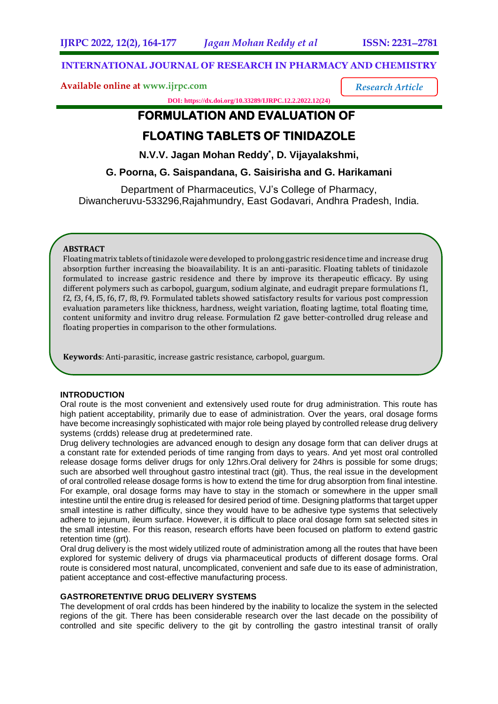*Research Article*

## **INTERNATIONAL JOURNAL OF RESEARCH IN PHARMACY AND CHEMISTRY**

**Available online at [www.ijrpc.com](http://www.ijrpc.com/)**

**DOI: https://dx.doi.org/10.33289/IJRPC.12.2.2022.12(24)** 

# **FORMULATION AND EVALUATION OF**

# **FLOATING TABLETS OF TINIDAZOLE**

**N.V.V. Jagan Mohan Reddy\* , D. Vijayalakshmi,**

**G. Poorna, G. Saispandana, G. Saisirisha and G. Harikamani**

Department of Pharmaceutics, VJ's College of Pharmacy, Diwancheruvu-533296,Rajahmundry, East Godavari, Andhra Pradesh, India.

## **ABSTRACT**

Floating matrix tablets of tinidazole were developed to prolong gastric residence time and increase drug absorption further increasing the bioavailability. It is an anti-parasitic. Floating tablets of tinidazole formulated to increase gastric residence and there by improve its therapeutic efficacy. By using different polymers such as carbopol, guargum, sodium alginate, and eudragit prepare formulations f1, f2, f3, f4, f5, f6, f7, f8, f9. Formulated tablets showed satisfactory results for various post compression evaluation parameters like thickness, hardness, weight variation, floating lagtime, total floating time, content uniformity and invitro drug release. Formulation f2 gave better-controlled drug release and floating properties in comparison to the other formulations.

**Keywords**: Anti-parasitic, increase gastric resistance, carbopol, guargum.

#### **INTRODUCTION**

Oral route is the most convenient and extensively used route for drug administration. This route has high patient acceptability, primarily due to ease of administration. Over the years, oral dosage forms have become increasingly sophisticated with major role being played by controlled release drug delivery systems (crdds) release drug at predetermined rate.

Drug delivery technologies are advanced enough to design any dosage form that can deliver drugs at a constant rate for extended periods of time ranging from days to years. And yet most oral controlled release dosage forms deliver drugs for only 12hrs.Oral delivery for 24hrs is possible for some drugs; such are absorbed well throughout gastro intestinal tract (git). Thus, the real issue in the development of oral controlled release dosage forms is how to extend the time for drug absorption from final intestine. For example, oral dosage forms may have to stay in the stomach or somewhere in the upper small intestine until the entire drug is released for desired period of time. Designing platforms that target upper small intestine is rather difficulty, since they would have to be adhesive type systems that selectively adhere to jejunum, ileum surface. However, it is difficult to place oral dosage form sat selected sites in the small intestine. For this reason, research efforts have been focused on platform to extend gastric retention time (art).

Oral drug delivery is the most widely utilized route of administration among all the routes that have been explored for systemic delivery of drugs via pharmaceutical products of different dosage forms. Oral route is considered most natural, uncomplicated, convenient and safe due to its ease of administration, patient acceptance and cost-effective manufacturing process.

## **GASTRORETENTIVE DRUG DELIVERY SYSTEMS**

The development of oral crdds has been hindered by the inability to localize the system in the selected regions of the git. There has been considerable research over the last decade on the possibility of controlled and site specific delivery to the git by controlling the gastro intestinal transit of orally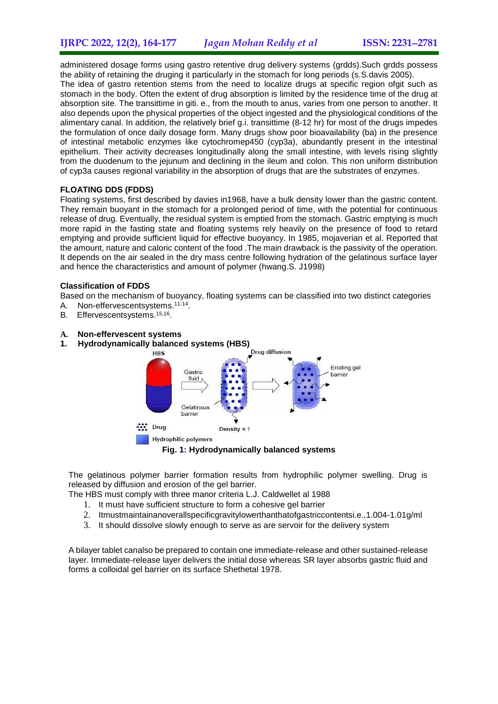administered dosage forms using gastro retentive drug delivery systems (grdds).Such grdds possess the ability of retaining the druging it particularly in the stomach for long periods (s.S.davis 2005).

The idea of gastro retention stems from the need to localize drugs at specific region ofgit such as stomach in the body. Often the extent of drug absorption is limited by the residence time of the drug at absorption site. The transittime in giti. e., from the mouth to anus, varies from one person to another. It also depends upon the physical properties of the object ingested and the physiological conditions of the alimentary canal. In addition, the relatively brief g.i. transittime (8-12 hr) for most of the drugs impedes the formulation of once daily dosage form. Many drugs show poor bioavailability (ba) in the presence of intestinal metabolic enzymes like cytochromep450 (cyp3a), abundantly present in the intestinal epithelium. Their activity decreases longitudinally along the small intestine, with levels rising slightly from the duodenum to the jejunum and declining in the ileum and colon. This non uniform distribution of cyp3a causes regional variability in the absorption of drugs that are the substrates of enzymes.

### **FLOATING DDS (FDDS)**

Floating systems, first described by davies in1968, have a bulk density lower than the gastric content. They remain buoyant in the stomach for a prolonged period of time, with the potential for continuous release of drug. Eventually, the residual system is emptied from the stomach. Gastric emptying is much more rapid in the fasting state and floating systems rely heavily on the presence of food to retard emptying and provide sufficient liquid for effective buoyancy. In 1985, mojaverian et al. Reported that the amount, nature and caloric content of the food .The main drawback is the passivity of the operation. It depends on the air sealed in the dry mass centre following hydration of the gelatinous surface layer and hence the characteristics and amount of polymer (hwang.S. J1998)

### **Classification of FDDS**

Based on the mechanism of buoyancy, floating systems can be classified into two distinct categories

- A. Non-effervescentsystems.<sup>11-14</sup>.
- B. Effervescentsystems.<sup>15,16</sup>.
- **A. Non-effervescent systems**
- **1. Hydrodynamically balanced systems (HBS)**



**Fig. 1: Hydrodynamically balanced systems**

The gelatinous polymer barrier formation results from hydrophilic polymer swelling. Drug is released by diffusion and erosion of the gel barrier.

The HBS must comply with three manor criteria L.J. Caldwellet al 1988

- 1. It must have sufficient structure to form a cohesive gel barrier
- 2. Itmustmaintainanoverallspecificgravitylowerthanthatofgastriccontentsi.e.,1.004-1.01g/ml
- 3. It should dissolve slowly enough to serve as are servoir for the delivery system

A bilayer tablet canalso be prepared to contain one immediate-release and other sustained-release layer. Immediate-release layer delivers the initial dose whereas SR layer absorbs gastric fluid and forms a colloidal gel barrier on its surface Shethetal 1978.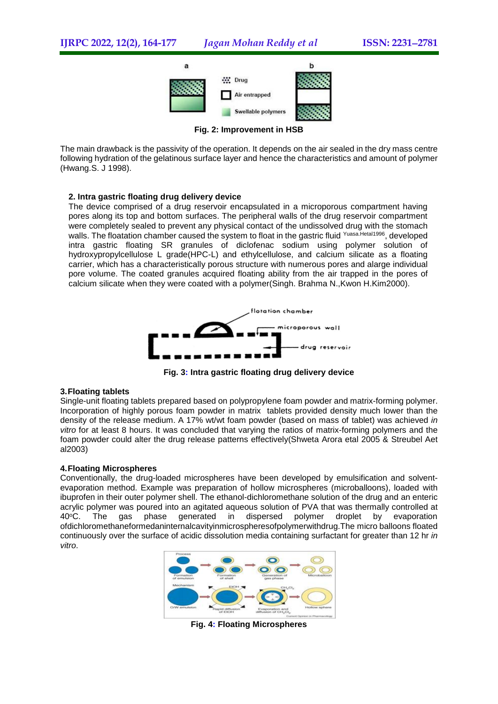

**Fig. 2: Improvement in HSB**

The main drawback is the passivity of the operation. It depends on the air sealed in the dry mass centre following hydration of the gelatinous surface layer and hence the characteristics and amount of polymer (Hwang.S. J 1998).

### **2. Intra gastric floating drug delivery device**

The device comprised of a drug reservoir encapsulated in a microporous compartment having pores along its top and bottom surfaces. The peripheral walls of the drug reservoir compartment were completely sealed to prevent any physical contact of the undissolved drug with the stomach walls. The floatation chamber caused the system to float in the gastric fluid Yuasa. Hetal1996, developed intra gastric floating SR granules of diclofenac sodium using polymer solution of hydroxypropylcellulose L grade(HPC-L) and ethylcellulose, and calcium silicate as a floating carrier, which has a characteristically porous structure with numerous pores and alarge individual pore volume. The coated granules acquired floating ability from the air trapped in the pores of calcium silicate when they were coated with a polymer(Singh. Brahma N.,Kwon H.Kim2000).



**Fig. 3: Intra gastric floating drug delivery device**

## **3.Floating tablets**

Single-unit floating tablets prepared based on polypropylene foam powder and matrix-forming polymer. Incorporation of highly porous foam powder in matrix tablets provided density much lower than the density of the release medium. A 17% wt/wt foam powder (based on mass of tablet) was achieved *in vitro* for at least 8 hours. It was concluded that varying the ratios of matrix-forming polymers and the foam powder could alter the drug release patterns effectively(Shweta Arora etal 2005 & Streubel Aet al2003)

#### **4.Floating Microspheres**

Conventionally, the drug-loaded microspheres have been developed by emulsification and solventevaporation method. Example was preparation of hollow microspheres (microballoons), loaded with ibuprofen in their outer polymer shell. The ethanol-dichloromethane solution of the drug and an enteric acrylic polymer was poured into an agitated aqueous solution of PVA that was thermally controlled at 40°C. The gas phase generated in dispersed polymer droplet by evaporation ofdichloromethaneformedaninternalcavityinmicrospheresofpolymerwithdrug.The micro balloons floated continuously over the surface of acidic dissolution media containing surfactant for greater than 12 hr *in vitro*.



**Fig. 4: Floating Microspheres**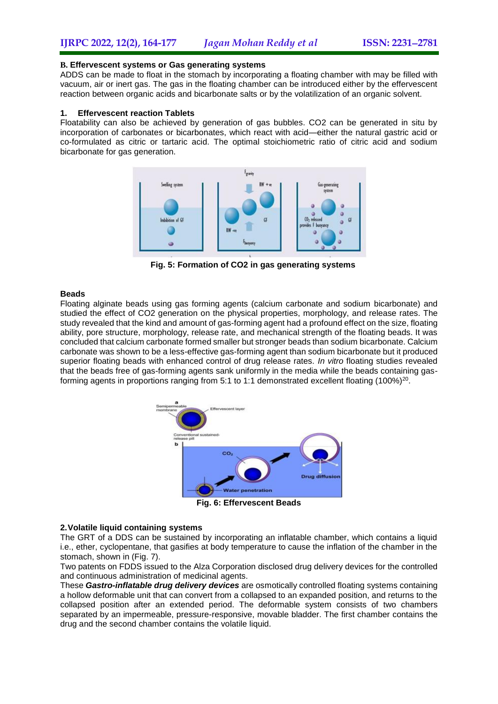#### **B. Effervescent systems or Gas generating systems**

ADDS can be made to float in the stomach by incorporating a floating chamber with may be filled with vacuum, air or inert gas. The gas in the floating chamber can be introduced either by the effervescent reaction between organic acids and bicarbonate salts or by the volatilization of an organic solvent.

#### **1. Effervescent reaction Tablets**

Floatability can also be achieved by generation of gas bubbles. CO2 can be generated in situ by incorporation of carbonates or bicarbonates, which react with acid—either the natural gastric acid or co-formulated as citric or tartaric acid. The optimal stoichiometric ratio of citric acid and sodium bicarbonate for gas generation.



**Fig. 5: Formation of CO2 in gas generating systems**

## **Beads**

Floating alginate beads using gas forming agents (calcium carbonate and sodium bicarbonate) and studied the effect of CO2 generation on the physical properties, morphology, and release rates. The study revealed that the kind and amount of gas-forming agent had a profound effect on the size, floating ability, pore structure, morphology, release rate, and mechanical strength of the floating beads. It was concluded that calcium carbonate formed smaller but stronger beads than sodium bicarbonate. Calcium carbonate was shown to be a less-effective gas-forming agent than sodium bicarbonate but it produced superior floating beads with enhanced control of drug release rates. *In vitro* floating studies revealed that the beads free of gas-forming agents sank uniformly in the media while the beads containing gasforming agents in proportions ranging from 5:1 to 1:1 demonstrated excellent floating (100%)<sup>20</sup>.



**Fig. 6: Effervescent Beads**

#### **2.Volatile liquid containing systems**

The GRT of a DDS can be sustained by incorporating an inflatable chamber, which contains a liquid i.e., ether, cyclopentane, that gasifies at body temperature to cause the inflation of the chamber in the stomach, shown in (Fig. 7).

Two patents on FDDS issued to the Alza Corporation disclosed drug delivery devices for the controlled and continuous administration of medicinal agents.

These *Gastro-inflatable drug delivery devices* are osmotically controlled floating systems containing a hollow deformable unit that can convert from a collapsed to an expanded position, and returns to the collapsed position after an extended period. The deformable system consists of two chambers separated by an impermeable, pressure-responsive, movable bladder. The first chamber contains the drug and the second chamber contains the volatile liquid.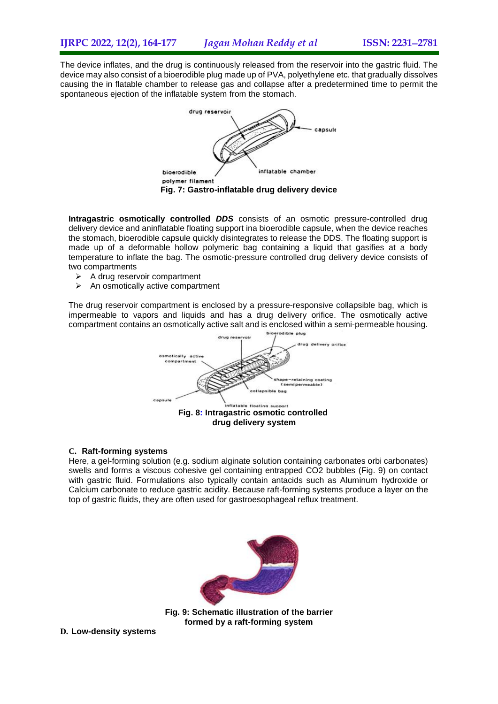The device inflates, and the drug is continuously released from the reservoir into the gastric fluid. The device may also consist of a bioerodible plug made up of PVA, polyethylene etc. that gradually dissolves causing the in flatable chamber to release gas and collapse after a predetermined time to permit the spontaneous ejection of the inflatable system from the stomach.



**Intragastric osmotically controlled** *DDS* consists of an osmotic pressure-controlled drug delivery device and aninflatable floating support ina bioerodible capsule, when the device reaches the stomach, bioerodible capsule quickly disintegrates to release the DDS. The floating support is made up of a deformable hollow polymeric bag containing a liquid that gasifies at a body temperature to inflate the bag. The osmotic-pressure controlled drug delivery device consists of two compartments

- $\triangleright$  A drug reservoir compartment
- $\triangleright$  An osmotically active compartment

The drug reservoir compartment is enclosed by a pressure-responsive collapsible bag, which is impermeable to vapors and liquids and has a drug delivery orifice. The osmotically active compartment contains an osmotically active salt and is enclosed within a semi-permeable housing.



#### **C. Raft-forming systems**

Here, a gel-forming solution (e.g. sodium alginate solution containing carbonates orbi carbonates) swells and forms a viscous cohesive gel containing entrapped CO2 bubbles (Fig. 9) on contact with gastric fluid. Formulations also typically contain antacids such as Aluminum hydroxide or Calcium carbonate to reduce gastric acidity. Because raft-forming systems produce a layer on the top of gastric fluids, they are often used for gastroesophageal reflux treatment.



**Fig. 9: Schematic illustration of the barrier formed by a raft-forming system**

**D. Low-density systems**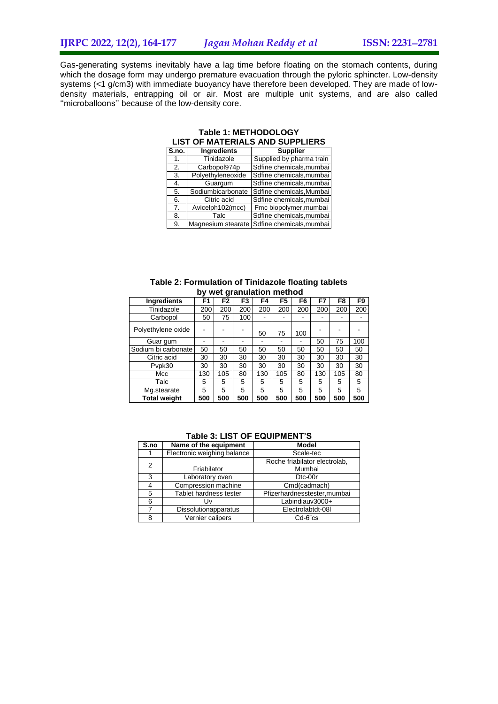Gas-generating systems inevitably have a lag time before floating on the stomach contents, during which the dosage form may undergo premature evacuation through the pyloric sphincter. Low-density systems (<1 g/cm3) with immediate buoyancy have therefore been developed. They are made of lowdensity materials, entrapping oil or air. Most are multiple unit systems, and are also called ''microballoons'' because of the low-density core.

|                | LIST OF MATERIALS AND SUFFLIERS |                          |  |  |  |  |  |  |
|----------------|---------------------------------|--------------------------|--|--|--|--|--|--|
| S.no.          | <b>Ingredients</b>              | <b>Supplier</b>          |  |  |  |  |  |  |
| 1.             | Tinidazole                      | Supplied by pharma train |  |  |  |  |  |  |
| 2.             | Carbopol974p                    | Sdfine chemicals, mumbai |  |  |  |  |  |  |
| 3.             | Polyethyleneoxide               | Sdfine chemicals, mumbai |  |  |  |  |  |  |
| 4.             | Guargum                         | Sdfine chemicals, mumbai |  |  |  |  |  |  |
| 5.             | Sodiumbicarbonate               | Sdfine chemicals, Mumbai |  |  |  |  |  |  |
| 6.             | Citric acid                     | Sdfine chemicals, mumbai |  |  |  |  |  |  |
| 7 <sub>1</sub> | Avicelph102(mcc)                | Fmc biopolymer, mumbai   |  |  |  |  |  |  |
| 8.             | Talc                            | Sdfine chemicals, mumbai |  |  |  |  |  |  |
| 9.             | Magnesium stearate              | Sdfine chemicals, mumbai |  |  |  |  |  |  |

#### **Table 1: METHODOLOGY LIST OF MATERIALS AND SUPPLIERS**

|  |                           |  | Table 2: Formulation of Tinidazole floating tablets |  |
|--|---------------------------|--|-----------------------------------------------------|--|
|  | by wet granulation method |  |                                                     |  |

| ≖                   |     |                |                |     |                |                |     |                |                |
|---------------------|-----|----------------|----------------|-----|----------------|----------------|-----|----------------|----------------|
| <b>Ingredients</b>  | F1  | F <sub>2</sub> | F <sub>3</sub> | F4  | F <sub>5</sub> | F <sub>6</sub> | F7  | F <sub>8</sub> | F <sub>9</sub> |
| Tinidazole          | 200 | 200            | 200            | 200 | 200            | 200            | 200 | 200            | 200            |
| Carbopol            | 50  | 75             | 100            | -   |                |                |     |                |                |
| Polyethylene oxide  |     |                |                | 50  | 75             | 100            |     |                |                |
| Guar gum            |     |                |                |     |                |                | 50  | 75             | 100            |
| Sodium bi carbonate | 50  | 50             | 50             | 50  | 50             | 50             | 50  | 50             | 50             |
| Citric acid         | 30  | 30             | 30             | 30  | 30             | 30             | 30  | 30             | 30             |
| Pvpk30              | 30  | 30             | 30             | 30  | 30             | 30             | 30  | 30             | 30             |
| Mcc                 | 130 | 105            | 80             | 130 | 105            | 80             | 130 | 105            | 80             |
| Talc                | 5   | 5              | 5              | 5   | 5              | 5              | 5   | 5              | 5              |
| Mg.stearate         | 5   | 5              | 5              | 5   | 5              | 5              | 5   | 5              | 5              |
| <b>Total weight</b> | 500 | 500            | 500            | 500 | 500            | 500            | 500 | 500            | 500            |

| S.no | Name of the equipment       | <b>Model</b>                  |
|------|-----------------------------|-------------------------------|
|      | Electronic weighing balance | Scale-tec                     |
| 2    |                             | Roche friabilator electrolab, |
|      | Friabilator                 | Mumbai                        |
| 3    | Laboratory oven             | D <sub>tc</sub> -00r          |
|      | Compression machine         | Cmd(cadmach)                  |
| 5    | Tablet hardness tester      | Pfizerhardnesstester, mumbai  |
| 6    | l Iv                        | Labindiauv3000+               |
|      | <b>Dissolutionapparatus</b> | Electrolabtdt-08I             |
| 8    | Vernier calipers            | $Cd-6"cs$                     |

#### **Table 3: LIST OF EQUIPMENT'S**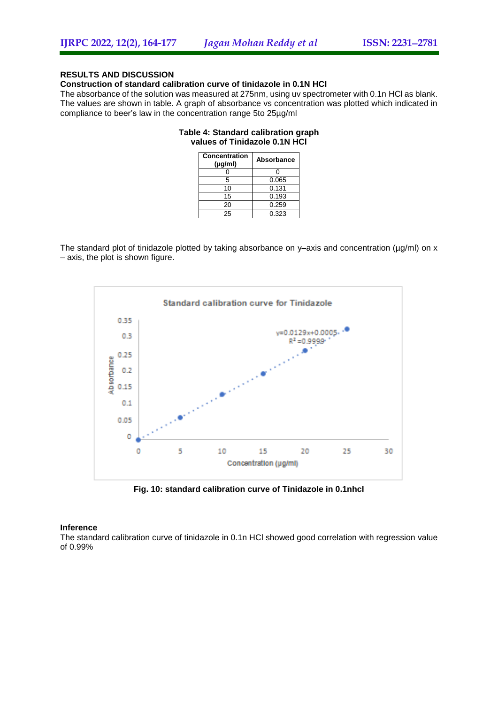## **RESULTS AND DISCUSSION**

#### **Construction of standard calibration curve of tinidazole in 0.1N HCl**

The absorbance of the solution was measured at 275nm, using uv spectrometer with 0.1n HCl as blank. The values are shown in table. A graph of absorbance vs concentration was plotted which indicated in compliance to beer's law in the concentration range 5to 25µg/ml

#### **Table 4: Standard calibration graph values of Tinidazole 0.1N HCl**

| Concentration<br>$(\mu q/m)$ | Absorbance |
|------------------------------|------------|
|                              |            |
| 5                            | 0.065      |
| 10                           | 0.131      |
| 15                           | 0.193      |
| 20                           | 0.259      |
| 25                           | 0.323      |

The standard plot of tinidazole plotted by taking absorbance on y–axis and concentration ( $\mu$ g/ml) on x – axis, the plot is shown figure.



**Fig. 10: standard calibration curve of Tinidazole in 0.1nhcl**

#### **Inference**

The standard calibration curve of tinidazole in 0.1n HCl showed good correlation with regression value of 0.99%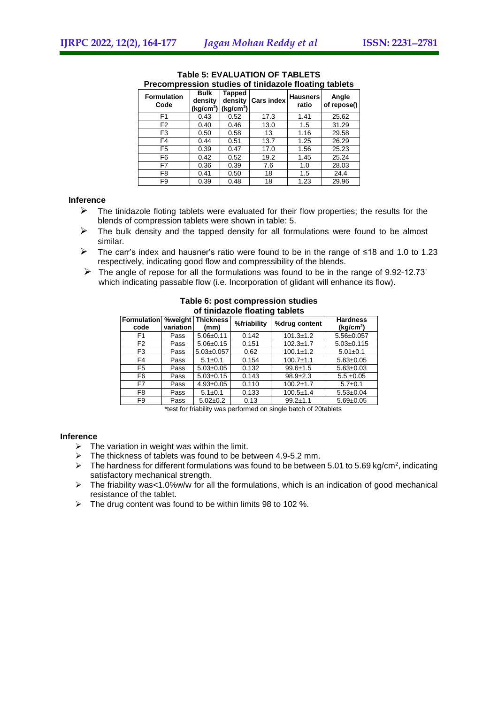|                            | - 3                                             |                                            |                   |                          |                      |  |  |  |  |  |  |
|----------------------------|-------------------------------------------------|--------------------------------------------|-------------------|--------------------------|----------------------|--|--|--|--|--|--|
| <b>Formulation</b><br>Code | <b>Bulk</b><br>density<br>(kg/cm <sup>3</sup> ) | Tapped<br>density<br>(kq/cm <sup>3</sup> ) | <b>Cars index</b> | <b>Hausners</b><br>ratio | Angle<br>of repose() |  |  |  |  |  |  |
| F <sub>1</sub>             | 0.43                                            | 0.52                                       | 17.3              | 1.41                     | 25.62                |  |  |  |  |  |  |
| F <sub>2</sub>             | 0.40                                            | 0.46                                       | 13.0              | 1.5                      | 31.29                |  |  |  |  |  |  |
| F3                         | 0.50                                            | 0.58                                       | 13                | 1.16                     | 29.58                |  |  |  |  |  |  |
| F4                         | 0.44                                            | 0.51                                       | 13.7              | 1.25                     | 26.29                |  |  |  |  |  |  |
| F <sub>5</sub>             | 0.39                                            | 0.47                                       | 17.0              | 1.56                     | 25.23                |  |  |  |  |  |  |
| F6                         | 0.42                                            | 0.52                                       | 19.2              | 1.45                     | 25.24                |  |  |  |  |  |  |
| F7                         | 0.36                                            | 0.39                                       | 7.6               | 1.0                      | 28.03                |  |  |  |  |  |  |
| F8                         | 0.41                                            | 0.50                                       | 18                | 1.5                      | 24.4                 |  |  |  |  |  |  |
| F9                         | 0.39                                            | 0.48                                       | 18                | 1.23                     | 29.96                |  |  |  |  |  |  |

#### **Table 5: EVALUATION OF TABLETS Precompression studies of tinidazole floating tablets**

## **Inference**

- $\triangleright$  The tinidazole floting tablets were evaluated for their flow properties; the results for the blends of compression tablets were shown in table: 5.
- The bulk density and the tapped density for all formulations were found to be almost similar.
- The carr's index and hausner's ratio were found to be in the range of ≤18 and 1.0 to 1.23 respectively, indicating good flow and compressibility of the blends.
- $\triangleright$  The angle of repose for all the formulations was found to be in the range of 9.92-12.73° which indicating passable flow (i.e. Incorporation of glidant will enhance its flow).

| or mnaazoro noaming tapicto |           |                                    |             |                 |                                          |  |  |  |
|-----------------------------|-----------|------------------------------------|-------------|-----------------|------------------------------------------|--|--|--|
| Formulation<br>code         | variation | <b>%weight   Thickness</b><br>(mm) | %friability | %drug content   | <b>Hardness</b><br>(kq/cm <sup>2</sup> ) |  |  |  |
| F1                          | Pass      | $5.06 + 0.11$                      | 0.142       | $101.3 \pm 1.2$ | $5.56 \pm 0.057$                         |  |  |  |
| F <sub>2</sub>              | Pass      | $5.06 \pm 0.15$                    | 0.151       | $102.3 \pm 1.7$ | $5.03 \pm 0.115$                         |  |  |  |
| F3                          | Pass      | $5.03 \pm 0.057$                   | 0.62        | $100.1 \pm 1.2$ | $5.01 \pm 0.1$                           |  |  |  |
| F4                          | Pass      | $5.1 \pm 0.1$                      | 0.154       | $100.7 \pm 1.1$ | $5.63 \pm 0.05$                          |  |  |  |
| F <sub>5</sub>              | Pass      | $5.03 \pm 0.05$                    | 0.132       | $99.6 \pm 1.5$  | $5.63 \pm 0.03$                          |  |  |  |
| F6                          | Pass      | $5.03 \pm 0.15$                    | 0.143       | $98.9 + 2.3$    | $5.5 \pm 0.05$                           |  |  |  |
| F7                          | Pass      | $4.93 \pm 0.05$                    | 0.110       | $100.2 \pm 1.7$ | $5.7 \pm 0.1$                            |  |  |  |
| F8                          | Pass      | $5.1 \pm 0.1$                      | 0.133       | $100.5 \pm 1.4$ | $5.53 \pm 0.04$                          |  |  |  |
| F9                          | Pass      | $5.02 \pm 0.2$                     | 0.13        | $99.2 \pm 1.1$  | $5.69 \pm 0.05$                          |  |  |  |

#### **Table 6: post compression studies of tinidazole floating tablets**

\*test for friability was performed on single batch of 20tablets

#### **Inference**

- $\triangleright$  The variation in weight was within the limit.
- $\triangleright$  The thickness of tablets was found to be between 4.9-5.2 mm.
- $\triangleright$  The hardness for different formulations was found to be between 5.01 to 5.69 kg/cm<sup>2</sup>, indicating satisfactory mechanical strength.
- $\triangleright$  The friability was<1.0%w/w for all the formulations, which is an indication of good mechanical resistance of the tablet.
- $\triangleright$  The drug content was found to be within limits 98 to 102 %.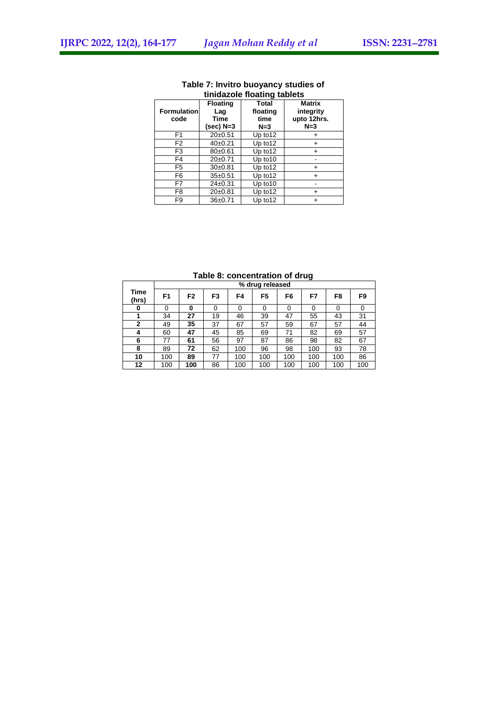| ……                         |                                               |                                           |                                                    |  |  |  |  |  |  |
|----------------------------|-----------------------------------------------|-------------------------------------------|----------------------------------------------------|--|--|--|--|--|--|
| <b>Formulation</b><br>code | <b>Floating</b><br>Laq<br>Time<br>$(sec)$ N=3 | <b>Total</b><br>floating<br>time<br>$N=3$ | <b>Matrix</b><br>integrity<br>upto 12hrs.<br>$N=3$ |  |  |  |  |  |  |
| F1                         | 20±0.51                                       | Up to 12                                  |                                                    |  |  |  |  |  |  |
| F <sub>2</sub>             | $40+0.21$                                     | Up to12                                   | +                                                  |  |  |  |  |  |  |
| F3                         | $80+0.61$                                     | Up to 12                                  | $\ddot{}$                                          |  |  |  |  |  |  |
| F4                         | $20+0.71$                                     | Up to 10                                  |                                                    |  |  |  |  |  |  |
| F5                         | 30±0.81                                       | Up to 12                                  | +                                                  |  |  |  |  |  |  |
| F6                         | $35 + 0.51$                                   | Up to 12                                  | ÷                                                  |  |  |  |  |  |  |
| F7                         | $24 \pm 0.31$                                 | Up to 10                                  |                                                    |  |  |  |  |  |  |
| F <sub>8</sub>             | 20±0.81                                       | Up to12                                   |                                                    |  |  |  |  |  |  |
| F <sub>9</sub>             | $36+0.71$                                     | Up to12                                   | $\,{}^+$                                           |  |  |  |  |  |  |

#### **Table 7: Invitro buoyancy studies of tinidazole floating tablets**

### **Table 8: concentration of drug**

|               |     | % drug released |                |     |     |     |     |     |     |
|---------------|-----|-----------------|----------------|-----|-----|-----|-----|-----|-----|
| Time<br>(hrs) | F1  | F <sub>2</sub>  | F <sub>3</sub> | F4  | F5  | F6  | F7  | F8  | F9  |
| 0             |     | 0               | 0              | 0   |     | 0   | 0   | 0   | 0   |
|               | 34  | 27              | 19             | 46  | 39  | 47  | 55  | 43  | 31  |
| $\mathbf{2}$  | 49  | 35              | 37             | 67  | 57  | 59  | 67  | 57  | 44  |
| 4             | 60  | 47              | 45             | 85  | 69  | 71  | 82  | 69  | 57  |
| 6             | 77  | 61              | 56             | 97  | 87  | 86  | 98  | 82  | 67  |
| 8             | 89  | 72              | 62             | 100 | 96  | 98  | 100 | 93  | 78  |
| 10            | 100 | 89              | 77             | 100 | 100 | 100 | 100 | 100 | 86  |
| 12            | 100 | 100             | 86             | 100 | 100 | 100 | 100 | 100 | 100 |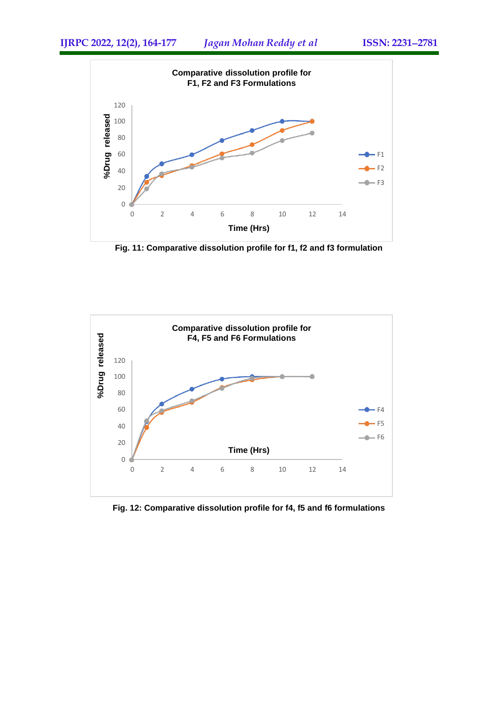

**Fig. 11: Comparative dissolution profile for f1, f2 and f3 formulation**



**Fig. 12: Comparative dissolution profile for f4, f5 and f6 formulations**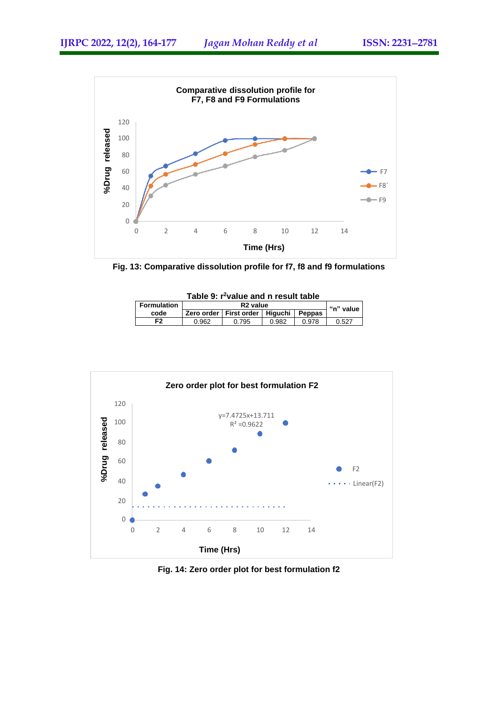

**Fig. 13: Comparative dissolution profile for f7, f8 and f9 formulations**

| Table 9: r <sup>2</sup> value and n result table |       |                                                        |       |       |       |  |  |
|--------------------------------------------------|-------|--------------------------------------------------------|-------|-------|-------|--|--|
| <b>Formulation</b>                               |       | R <sub>2</sub> value<br>"n" value                      |       |       |       |  |  |
| code                                             |       | <b>Peppas</b><br>Hiauchi I<br>Zero order   First order |       |       |       |  |  |
| F <sub>2</sub>                                   | 0.962 | 0.795                                                  | 0.982 | 0.978 | 0.527 |  |  |



**Fig. 14: Zero order plot for best formulation f2**

#### **Table 9: r<sup>2</sup>value and n result table**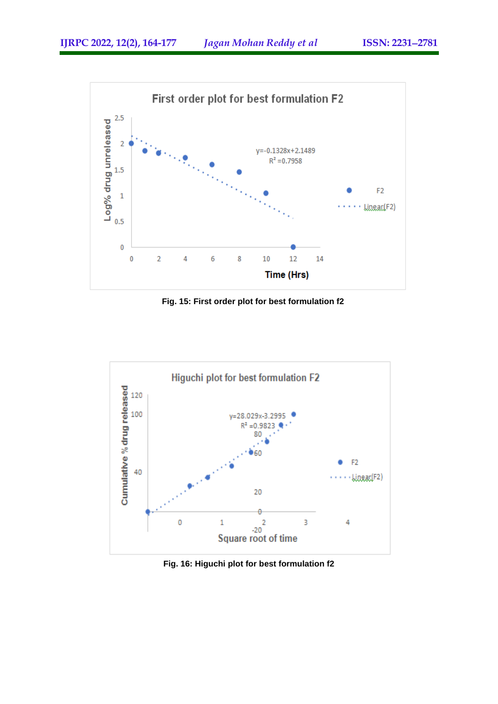

**Fig. 15: First order plot for best formulation f2**



**Fig. 16: Higuchi plot for best formulation f2**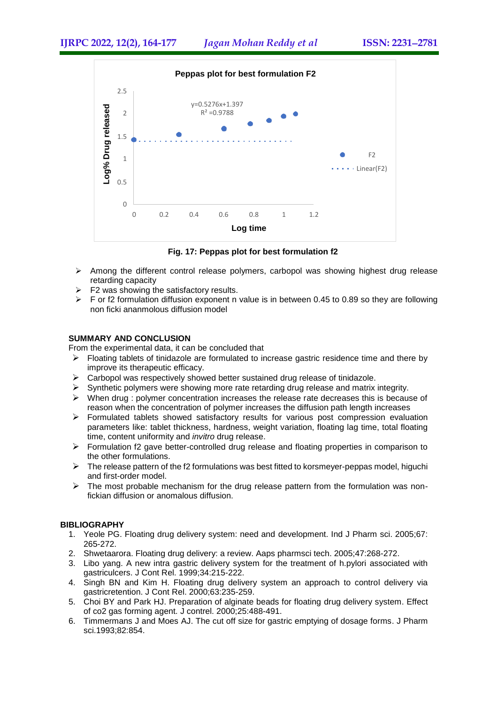

**Fig. 17: Peppas plot for best formulation f2**

- $\triangleright$  Among the different control release polymers, carbopol was showing highest drug release retarding capacity
- $\triangleright$  F2 was showing the satisfactory results.
- $\triangleright$  F or f2 formulation diffusion exponent n value is in between 0.45 to 0.89 so they are following non ficki ananmolous diffusion model

## **SUMMARY AND CONCLUSION**

From the experimental data, it can be concluded that

- $\triangleright$  Floating tablets of tinidazole are formulated to increase gastric residence time and there by improve its therapeutic efficacy.
- $\triangleright$  Carbopol was respectively showed better sustained drug release of tinidazole.
- $\triangleright$  Synthetic polymers were showing more rate retarding drug release and matrix integrity.
- $\triangleright$  When drug : polymer concentration increases the release rate decreases this is because of reason when the concentration of polymer increases the diffusion path length increases
- $\triangleright$  Formulated tablets showed satisfactory results for various post compression evaluation parameters like: tablet thickness, hardness, weight variation, floating lag time, total floating time, content uniformity and *invitro* drug release.
- $\triangleright$  Formulation f2 gave better-controlled drug release and floating properties in comparison to the other formulations.
- $\triangleright$  The release pattern of the f2 formulations was best fitted to korsmeyer-peppas model, higuchi and first-order model.
- $\triangleright$  The most probable mechanism for the drug release pattern from the formulation was nonfickian diffusion or anomalous diffusion.

## **BIBLIOGRAPHY**

- 1. Yeole PG. Floating drug delivery system: need and development. Ind J Pharm sci. 2005;67: 265-272.
- 2. Shwetaarora. Floating drug delivery: a review. Aaps pharmsci tech. 2005;47:268-272.
- 3. Libo yang. A new intra gastric delivery system for the treatment of h.pylori associated with gastriculcers. J Cont Rel. 1999;34:215-222.
- 4. Singh BN and Kim H. Floating drug delivery system an approach to control delivery via gastricretention. J Cont Rel. 2000;63:235-259.
- 5. Choi BY and Park HJ. Preparation of alginate beads for floating drug delivery system. Effect of co2 gas forming agent. J contrel. 2000;25:488-491.
- 6. Timmermans J and Moes AJ. The cut off size for gastric emptying of dosage forms. J Pharm sci.1993;82:854.